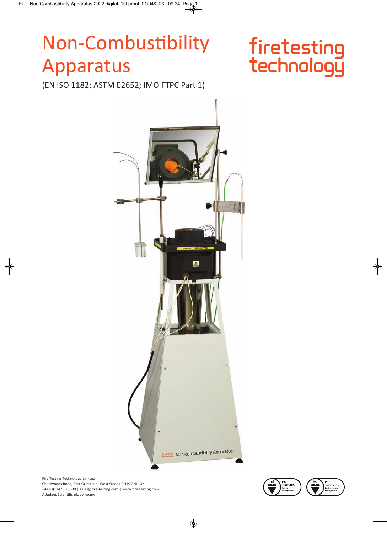# Non-Combustibility Apparatus

(EN ISO 1182; ASTM E2652; IMO FTPC Part 1)

# firetesting<br>technology



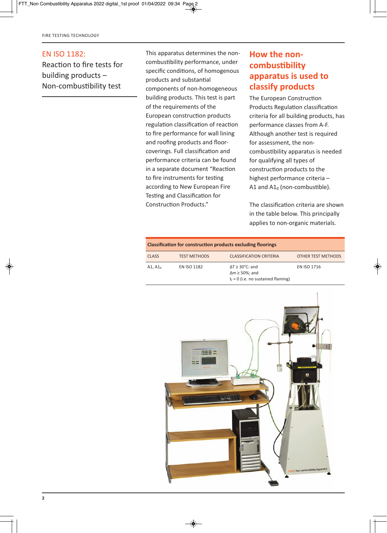### EN ISO 1182: Reaction to fire tests for building products – Non-combustibility test

This apparatus determines the noncombustibility performance, under specific conditions, of homogenous products and substantial components of non-homogeneous building products. This test is part of the requirements of the European construction products regulation classification of reaction to fire performance for wall lining and roofing products and floorcoverings. Full classification and performance criteria can be found in a separate document "Reaction to fire instruments for testing according to New European Fire Testing and Classification for Construction Products."

## **How the noncombustibility apparatus is used to classify products**

The European Construction Products Regulation classification criteria for all building products, has performance classes from A-F. Although another test is required for assessment, the noncombustibility apparatus is needed for qualifying all types of construction products to the highest performance criteria – A1 and  $AI<sub>f</sub>$  (non-combustible).

The classification criteria are shown in the table below. This principally applies to non-organic materials.

| <b>Classification for construction products excluding floorings</b> |                     |                                                                                                          |                    |
|---------------------------------------------------------------------|---------------------|----------------------------------------------------------------------------------------------------------|--------------------|
| <b>CLASS</b>                                                        | <b>TEST METHODS</b> | <b>CLASSIFICATION CRITERIA</b>                                                                           | OTHER TEST METHODS |
| A <sub>1</sub> , $A_{1n}$                                           | <b>EN ISO 1182</b>  | $\Delta T \geq 30^{\circ}$ C: and<br>$\Delta m \geq 50\%$ ; and<br>$t_f = 0$ (i.e. no sustained flaming) | <b>EN ISO 1716</b> |

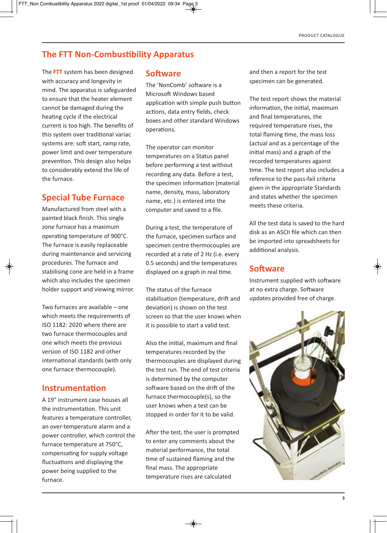# **The FTT Non-Combustibility Apparatus**

The **FTT** system has been designed with accuracy and longevity in mind. The apparatus is safeguarded to ensure that the heater element cannot be damaged during the heating cycle if the electrical current is too high. The benefits of this system over traditional variac systems are: soft start, ramp rate, power limit and over temperature prevention. This design also helps to considerably extend the life of the furnace.

#### **Special Tube Furnace**

Manufactured from steel with a painted black finish. This single zone furnace has a maximum operating temperature of 900°C. The furnace is easily replaceable during maintenance and servicing procedures. The furnace and stabilising cone are held in a frame which also includes the specimen holder support and viewing mirror.

Two furnaces are available – one which meets the requirements of ISO 1182: 2020 where there are two furnace thermocouples and one which meets the previous version of ISO 1182 and other international standards (with only one furnace thermocouple).

#### **Instrumentation**

A 19" instrument case houses all the instrumentation. This unit features a temperature controller, an over-temperature alarm and a power controller, which control the furnace temperature at 750°C, compensating for supply voltage fluctuations and displaying the power being supplied to the furnace.

#### **Software**

The 'NonComb' software is a Microsoft Windows based application with simple push button actions, data entry fields, check boxes and other standard Windows operations.

The operator can monitor temperatures on a Status panel before performing a test without recording any data. Before a test, the specimen information (material name, density, mass, laboratory name, etc.) is entered into the computer and saved to a file.

During a test, the temperature of the furnace, specimen surface and specimen centre thermocouples are recorded at a rate of 2 Hz (i.e. every 0.5 seconds) and the temperatures displayed on a graph in real time.

The status of the furnace stabilisation (temperature, drift and deviation) is shown on the test screen so that the user knows when it is possible to start a valid test.

Also the initial, maximum and final temperatures recorded by the thermocouples are displayed during the test run. The end of test criteria is determined by the computer software based on the drift of the furnace thermocouple(s), so the user knows when a test can be stopped in order for it to be valid.

After the test, the user is prompted to enter any comments about the material performance, the total time of sustained flaming and the final mass. The appropriate temperature rises are calculated

and then a report for the test specimen can be generated.

The test report shows the material information, the initial, maximum and final temperatures, the required temperature rises, the total flaming time, the mass loss (actual and as a percentage of the initial mass) and a graph of the recorded temperatures against time. The test report also includes a reference to the pass-fail criteria given in the appropriate Standards and states whether the specimen meets these criteria.

All the test data is saved to the hard disk as an ASCII file which can then be imported into spreadsheets for additional analysis.

#### **Software**

Instrument supplied with software at no extra charge. Software updates provided free of charge.

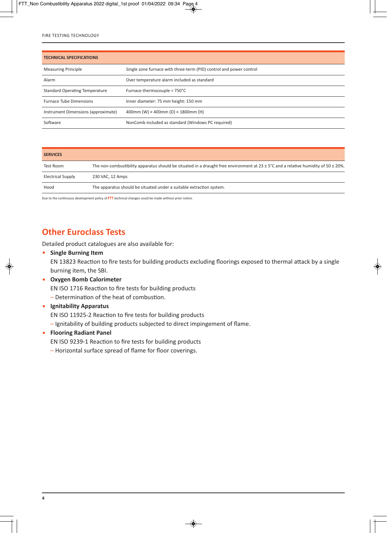| <b>TECHNICAL SPECIFICATIONS</b>       |                                                                     |  |  |
|---------------------------------------|---------------------------------------------------------------------|--|--|
| <b>Measuring Principle</b>            | Single zone furnace with three-term (PID) control and power control |  |  |
| Alarm                                 | Over temperature alarm included as standard                         |  |  |
| <b>Standard Operating Temperature</b> | Furnace thermocouple = 750°C                                        |  |  |
| <b>Furnace Tube Dimensions</b>        | Inner diameter: 75 mm height: 150 mm                                |  |  |
| Instrument Dimensions (approximate)   | 400mm (W) $\times$ 400mm (D) $\times$ 1800mm (H)                    |  |  |
| Software                              | NonComb included as standard (Windows PC required)                  |  |  |

**SERVICES** Test Room The non-combustibility apparatus should be situated in a draught free environment at 23 ± 5°C and a relative humidity of 50 ± 20%. Electrical Supply 230 VAC, 12 Amps Hood The apparatus should be situated under a suitable extraction system.

Due to the continuous development policy of **FTT** technical changes could be made without prior notice.

#### **Other Euroclass Tests**

Detailed product catalogues are also available for:

• **Single Burning Item**

EN 13823 Reaction to fire tests for building products excluding floorings exposed to thermal attack by a single burning item, the SBI.

• **Oxygen Bomb Calorimeter**

EN ISO 1716 Reaction to fire tests for building products

– Determination of the heat of combustion.

• **Ignitability Apparatus**

EN ISO 119252 Reaction to fire tests for building products

– Ignitability of building products subjected to direct impingement of flame.

• **Flooring Radiant Panel**

EN ISO 9239-1 Reaction to fire tests for building products

– Horizontal surface spread of flame for floor coverings.